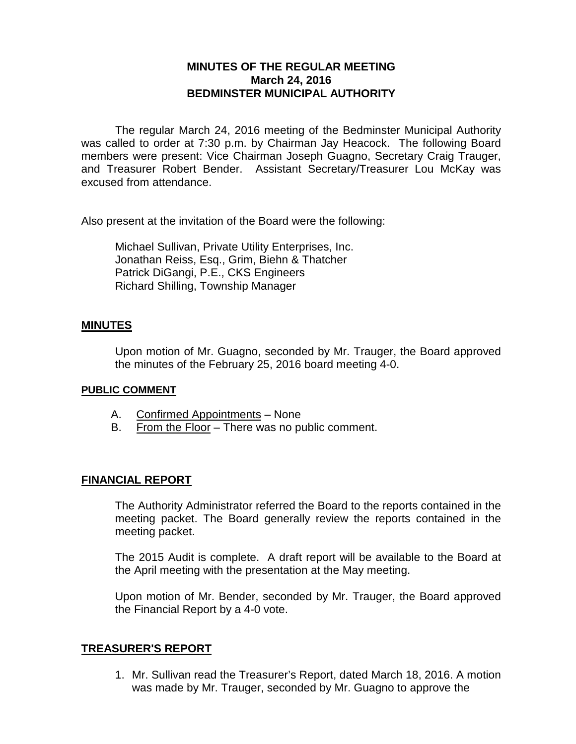# **MINUTES OF THE REGULAR MEETING March 24, 2016 BEDMINSTER MUNICIPAL AUTHORITY**

The regular March 24, 2016 meeting of the Bedminster Municipal Authority was called to order at 7:30 p.m. by Chairman Jay Heacock. The following Board members were present: Vice Chairman Joseph Guagno, Secretary Craig Trauger, and Treasurer Robert Bender. Assistant Secretary/Treasurer Lou McKay was excused from attendance.

Also present at the invitation of the Board were the following:

Michael Sullivan, Private Utility Enterprises, Inc. Jonathan Reiss, Esq., Grim, Biehn & Thatcher Patrick DiGangi, P.E., CKS Engineers Richard Shilling, Township Manager

#### **MINUTES**

Upon motion of Mr. Guagno, seconded by Mr. Trauger, the Board approved the minutes of the February 25, 2016 board meeting 4-0.

#### **PUBLIC COMMENT**

- A. Confirmed Appointments None
- B. From the Floor There was no public comment.

#### **FINANCIAL REPORT**

The Authority Administrator referred the Board to the reports contained in the meeting packet. The Board generally review the reports contained in the meeting packet.

The 2015 Audit is complete. A draft report will be available to the Board at the April meeting with the presentation at the May meeting.

Upon motion of Mr. Bender, seconded by Mr. Trauger, the Board approved the Financial Report by a 4-0 vote.

### **TREASURER'S REPORT**

1. Mr. Sullivan read the Treasurer's Report, dated March 18, 2016. A motion was made by Mr. Trauger, seconded by Mr. Guagno to approve the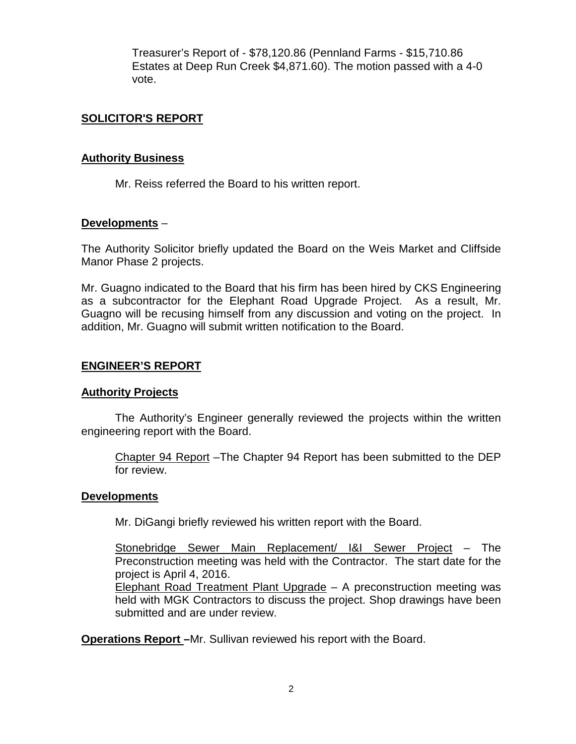Treasurer's Report of - \$78,120.86 (Pennland Farms - \$15,710.86 Estates at Deep Run Creek \$4,871.60). The motion passed with a 4-0 vote.

# **SOLICITOR'S REPORT**

#### **Authority Business**

Mr. Reiss referred the Board to his written report.

### **Developments** –

The Authority Solicitor briefly updated the Board on the Weis Market and Cliffside Manor Phase 2 projects.

Mr. Guagno indicated to the Board that his firm has been hired by CKS Engineering as a subcontractor for the Elephant Road Upgrade Project. As a result, Mr. Guagno will be recusing himself from any discussion and voting on the project. In addition, Mr. Guagno will submit written notification to the Board.

### **ENGINEER'S REPORT**

#### **Authority Projects**

The Authority's Engineer generally reviewed the projects within the written engineering report with the Board.

Chapter 94 Report –The Chapter 94 Report has been submitted to the DEP for review.

#### **Developments**

Mr. DiGangi briefly reviewed his written report with the Board.

Stonebridge Sewer Main Replacement/ I&I Sewer Project – The Preconstruction meeting was held with the Contractor. The start date for the project is April 4, 2016.

Elephant Road Treatment Plant Upgrade – A preconstruction meeting was held with MGK Contractors to discuss the project. Shop drawings have been submitted and are under review.

**Operations Report –**Mr. Sullivan reviewed his report with the Board.